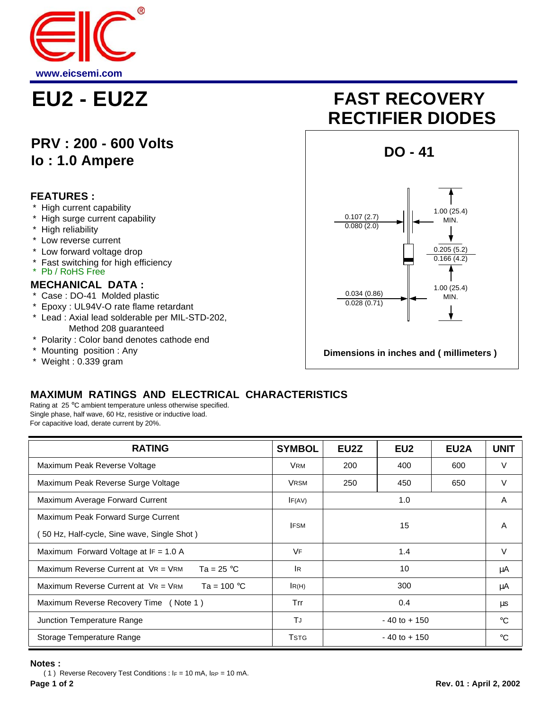

## **PRV : 200 - 600 Volts Io : 1.0 Ampere**

#### **FEATURES :**

- High current capability
- \* High surge current capability
- \* High reliability
- \* Low reverse current
- Low forward voltage drop
- \* Fast switching for high efficiency
- Pb / RoHS Free

#### **MECHANICAL DATA :**

- \* Case : DO-41 Molded plastic
- \* Epoxy : UL94V-O rate flame retardant
- \* Lead : Axial lead solderable per MIL-STD-202, Method 208 guaranteed
- \* Polarity : Color band denotes cathode end
- \* Mounting position : Any
- \* Weight : 0.339 gram

# **EU2 - EU2Z FAST RECOVERY RECTIFIER DIODES**



### **MAXIMUM RATINGS AND ELECTRICAL CHARACTERISTICS**

Rating at 25 °C ambient temperature unless otherwise specified. Single phase, half wave, 60 Hz, resistive or inductive load. For capacitive load, derate current by 20%.

| <b>RATING</b>                                             | <b>SYMBOL</b>     | EU2Z            | EU <sub>2</sub> | EU <sub>2</sub> A | <b>UNIT</b> |
|-----------------------------------------------------------|-------------------|-----------------|-----------------|-------------------|-------------|
| Maximum Peak Reverse Voltage                              | <b>VRM</b>        | 200             | 400             | 600               | V           |
| Maximum Peak Reverse Surge Voltage                        | <b>VRSM</b>       | 250             | 450             | 650               | $\vee$      |
| Maximum Average Forward Current                           | IF(AV)            | 1.0             |                 |                   | A           |
| Maximum Peak Forward Surge Current                        | 15<br><b>IFSM</b> |                 |                 | A                 |             |
| 50 Hz, Half-cycle, Sine wave, Single Shot)                |                   |                 |                 |                   |             |
| Maximum Forward Voltage at $IF = 1.0 A$                   | <b>VF</b>         | 1.4             |                 |                   | $\vee$      |
| Ta = $25 °C$<br>Maximum Reverse Current at $V_R = V_{RM}$ | <b>IR</b>         | 10              |                 |                   | μA          |
| Maximum Reverse Current at $V = V_{RM}$<br>Ta = 100 °C    | IR(H)             | 300             |                 |                   | μA          |
| Maximum Reverse Recovery Time (Note 1)                    | Trr               | 0.4             |                 |                   | μs          |
| Junction Temperature Range                                | TJ                | $-40$ to $+150$ |                 |                   | $^{\circ}C$ |
| Storage Temperature Range                                 | <b>T</b> STG      | $-40$ to $+150$ |                 |                   | $^{\circ}C$ |

#### **Notes :**

 ( 1 ) Reverse Recovery Test Conditions : IF = 10 mA, IRP = 10 mA. **Page 1 of 2 Rev. 01 : April 2, 2002**